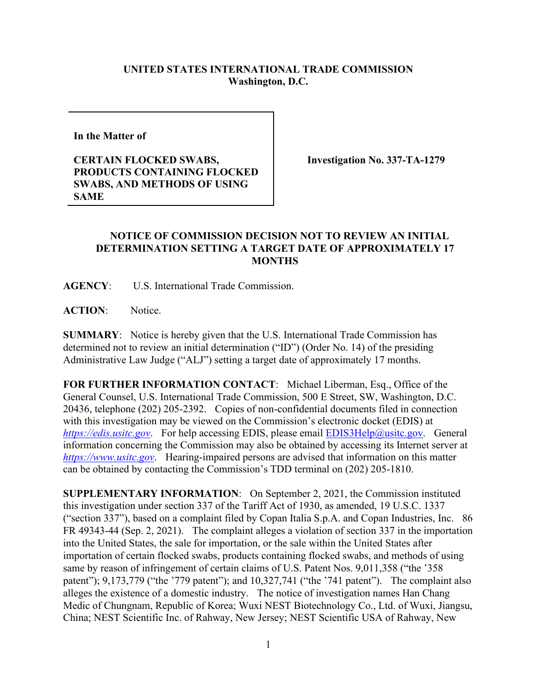## **UNITED STATES INTERNATIONAL TRADE COMMISSION Washington, D.C.**

**In the Matter of** 

## **CERTAIN FLOCKED SWABS, PRODUCTS CONTAINING FLOCKED SWABS, AND METHODS OF USING SAME**

**Investigation No. 337-TA-1279**

## **NOTICE OF COMMISSION DECISION NOT TO REVIEW AN INITIAL DETERMINATION SETTING A TARGET DATE OF APPROXIMATELY 17 MONTHS**

**AGENCY**: U.S. International Trade Commission.

**ACTION**: Notice.

**SUMMARY**: Notice is hereby given that the U.S. International Trade Commission has determined not to review an initial determination ("ID") (Order No. 14) of the presiding Administrative Law Judge ("ALJ") setting a target date of approximately 17 months.

**FOR FURTHER INFORMATION CONTACT**: Michael Liberman, Esq., Office of the General Counsel, U.S. International Trade Commission, 500 E Street, SW, Washington, D.C. 20436, telephone (202) 205-2392. Copies of non-confidential documents filed in connection with this investigation may be viewed on the Commission's electronic docket (EDIS) at *[https://edis.usitc.gov](https://edis.usitc.gov/).* For help accessing EDIS, please email [EDIS3Help@usitc.gov.](mailto:EDIS3Help@usitc.gov) General information concerning the Commission may also be obtained by accessing its Internet server at *[https://www.usitc.gov](https://www.usitc.gov/)*. Hearing-impaired persons are advised that information on this matter can be obtained by contacting the Commission's TDD terminal on (202) 205-1810.

**SUPPLEMENTARY INFORMATION**: On September 2, 2021, the Commission instituted this investigation under section 337 of the Tariff Act of 1930, as amended, 19 U.S.C. 1337 ("section 337"), based on a complaint filed by Copan Italia S.p.A. and Copan Industries, Inc. 86 FR 49343-44 (Sep. 2, 2021). The complaint alleges a violation of section 337 in the importation into the United States, the sale for importation, or the sale within the United States after importation of certain flocked swabs, products containing flocked swabs, and methods of using same by reason of infringement of certain claims of U.S. Patent Nos. 9,011,358 ("the '358 patent"); 9,173,779 ("the '779 patent"); and 10,327,741 ("the '741 patent"). The complaint also alleges the existence of a domestic industry. The notice of investigation names Han Chang Medic of Chungnam, Republic of Korea; Wuxi NEST Biotechnology Co., Ltd. of Wuxi, Jiangsu, China; NEST Scientific Inc. of Rahway, New Jersey; NEST Scientific USA of Rahway, New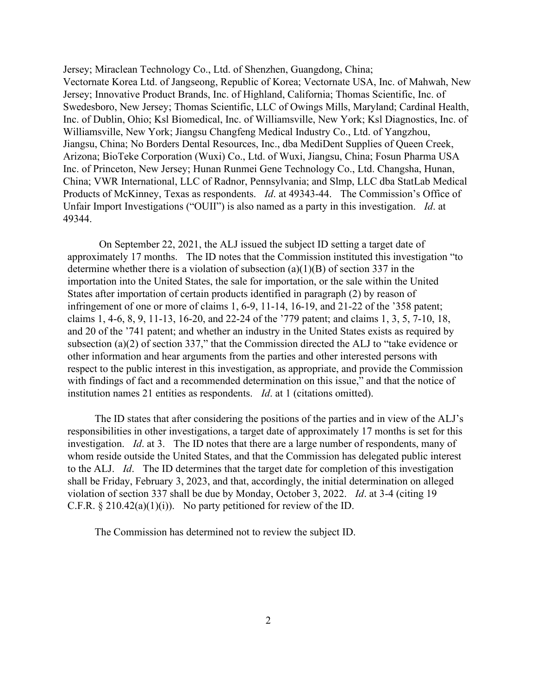Jersey; Miraclean Technology Co., Ltd. of Shenzhen, Guangdong, China; Vectornate Korea Ltd. of Jangseong, Republic of Korea; Vectornate USA, Inc. of Mahwah, New Jersey; Innovative Product Brands, Inc. of Highland, California; Thomas Scientific, Inc. of Swedesboro, New Jersey; Thomas Scientific, LLC of Owings Mills, Maryland; Cardinal Health, Inc. of Dublin, Ohio; Ksl Biomedical, Inc. of Williamsville, New York; Ksl Diagnostics, Inc. of Williamsville, New York; Jiangsu Changfeng Medical Industry Co., Ltd. of Yangzhou, Jiangsu, China; No Borders Dental Resources, Inc., dba MediDent Supplies of Queen Creek, Arizona; BioTeke Corporation (Wuxi) Co., Ltd. of Wuxi, Jiangsu, China; Fosun Pharma USA Inc. of Princeton, New Jersey; Hunan Runmei Gene Technology Co., Ltd. Changsha, Hunan, China; VWR International, LLC of Radnor, Pennsylvania; and Slmp, LLC dba StatLab Medical Products of McKinney, Texas as respondents. *Id*. at 49343-44. The Commission's Office of Unfair Import Investigations ("OUII") is also named as a party in this investigation. *Id*. at 49344.

On September 22, 2021, the ALJ issued the subject ID setting a target date of approximately 17 months. The ID notes that the Commission instituted this investigation "to determine whether there is a violation of subsection  $(a)(1)(B)$  of section 337 in the importation into the United States, the sale for importation, or the sale within the United States after importation of certain products identified in paragraph (2) by reason of infringement of one or more of claims 1, 6-9, 11-14, 16-19, and 21-22 of the '358 patent; claims 1, 4-6, 8, 9, 11-13, 16-20, and 22-24 of the '779 patent; and claims 1, 3, 5, 7-10, 18, and 20 of the '741 patent; and whether an industry in the United States exists as required by subsection (a)(2) of section 337," that the Commission directed the ALJ to "take evidence or other information and hear arguments from the parties and other interested persons with respect to the public interest in this investigation, as appropriate, and provide the Commission with findings of fact and a recommended determination on this issue," and that the notice of institution names 21 entities as respondents. *Id*. at 1 (citations omitted).

The ID states that after considering the positions of the parties and in view of the ALJ's responsibilities in other investigations, a target date of approximately 17 months is set for this investigation. *Id*. at 3. The ID notes that there are a large number of respondents, many of whom reside outside the United States, and that the Commission has delegated public interest to the ALJ. *Id*. The ID determines that the target date for completion of this investigation shall be Friday, February 3, 2023, and that, accordingly, the initial determination on alleged violation of section 337 shall be due by Monday, October 3, 2022. *Id*. at 3-4 (citing 19 C.F.R.  $\S 210.42(a)(1)(i)$ . No party petitioned for review of the ID.

The Commission has determined not to review the subject ID.